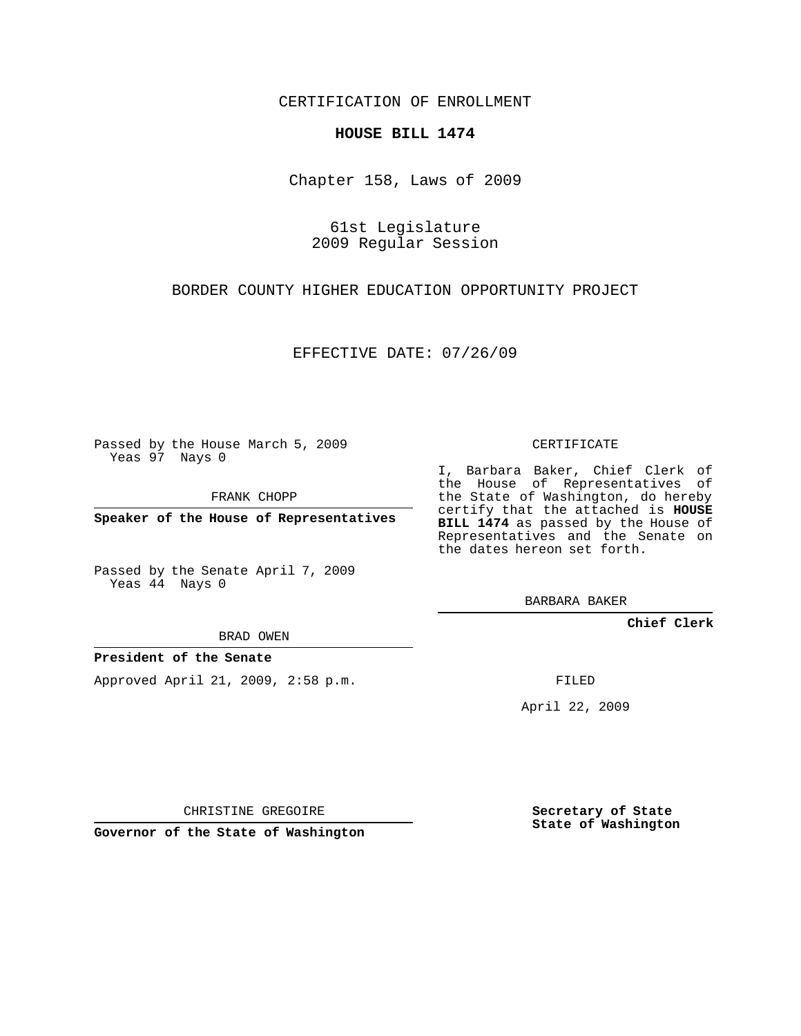CERTIFICATION OF ENROLLMENT

## **HOUSE BILL 1474**

Chapter 158, Laws of 2009

61st Legislature 2009 Regular Session

BORDER COUNTY HIGHER EDUCATION OPPORTUNITY PROJECT

EFFECTIVE DATE: 07/26/09

Passed by the House March 5, 2009 Yeas 97 Nays 0

FRANK CHOPP

**Speaker of the House of Representatives**

Passed by the Senate April 7, 2009 Yeas 44 Nays 0

BRAD OWEN

## **President of the Senate**

Approved April 21, 2009, 2:58 p.m.

CERTIFICATE

I, Barbara Baker, Chief Clerk of the House of Representatives of the State of Washington, do hereby certify that the attached is **HOUSE BILL 1474** as passed by the House of Representatives and the Senate on the dates hereon set forth.

BARBARA BAKER

**Chief Clerk**

FILED

April 22, 2009

CHRISTINE GREGOIRE

**Governor of the State of Washington**

**Secretary of State State of Washington**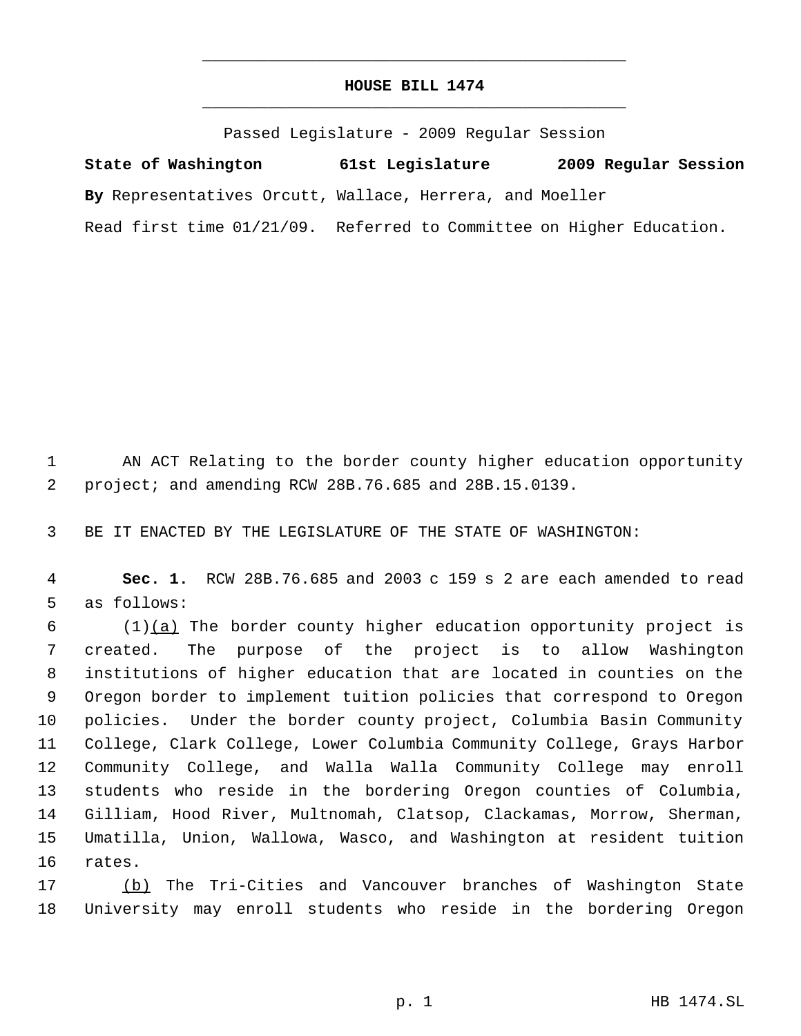## **HOUSE BILL 1474** \_\_\_\_\_\_\_\_\_\_\_\_\_\_\_\_\_\_\_\_\_\_\_\_\_\_\_\_\_\_\_\_\_\_\_\_\_\_\_\_\_\_\_\_\_

\_\_\_\_\_\_\_\_\_\_\_\_\_\_\_\_\_\_\_\_\_\_\_\_\_\_\_\_\_\_\_\_\_\_\_\_\_\_\_\_\_\_\_\_\_

Passed Legislature - 2009 Regular Session

**State of Washington 61st Legislature 2009 Regular Session By** Representatives Orcutt, Wallace, Herrera, and Moeller Read first time 01/21/09. Referred to Committee on Higher Education.

 AN ACT Relating to the border county higher education opportunity project; and amending RCW 28B.76.685 and 28B.15.0139.

BE IT ENACTED BY THE LEGISLATURE OF THE STATE OF WASHINGTON:

 **Sec. 1.** RCW 28B.76.685 and 2003 c 159 s 2 are each amended to read as follows:

 (1) $(a)$  The border county higher education opportunity project is created. The purpose of the project is to allow Washington institutions of higher education that are located in counties on the Oregon border to implement tuition policies that correspond to Oregon policies. Under the border county project, Columbia Basin Community College, Clark College, Lower Columbia Community College, Grays Harbor Community College, and Walla Walla Community College may enroll students who reside in the bordering Oregon counties of Columbia, Gilliam, Hood River, Multnomah, Clatsop, Clackamas, Morrow, Sherman, Umatilla, Union, Wallowa, Wasco, and Washington at resident tuition rates.

 (b) The Tri-Cities and Vancouver branches of Washington State University may enroll students who reside in the bordering Oregon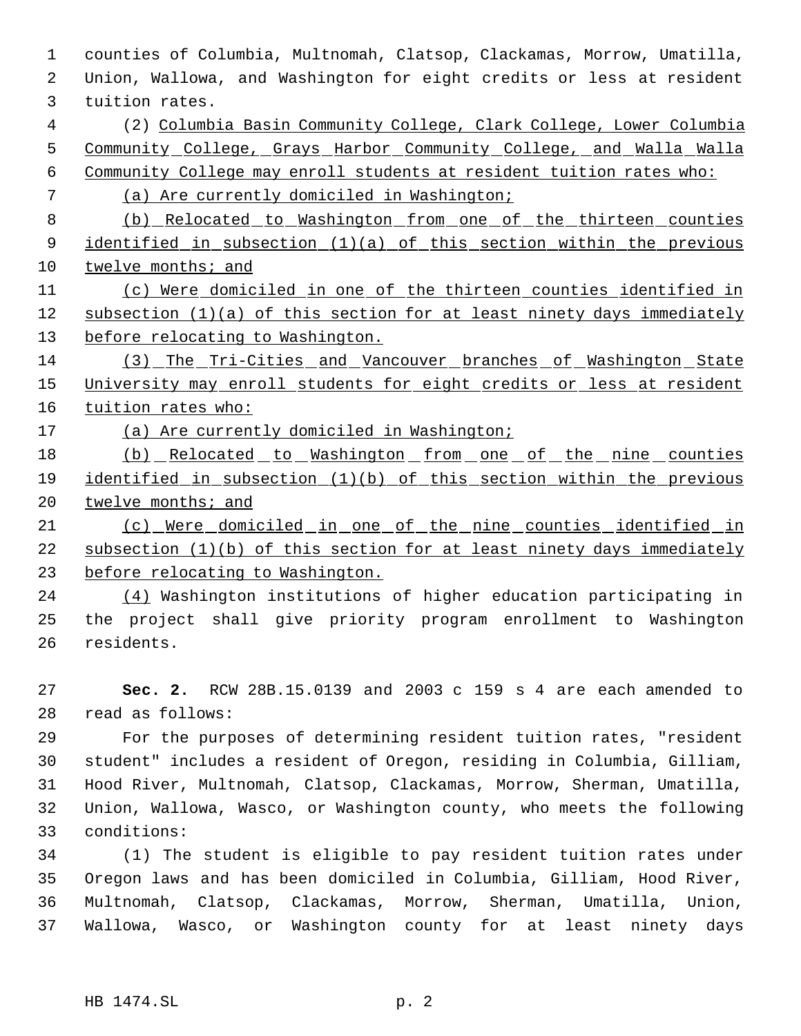counties of Columbia, Multnomah, Clatsop, Clackamas, Morrow, Umatilla, Union, Wallowa, and Washington for eight credits or less at resident tuition rates. (2) Columbia Basin Community College, Clark College, Lower Columbia Community College, Grays Harbor Community College, and Walla Walla Community College may enroll students at resident tuition rates who: (a) Are currently domiciled in Washington; (b) Relocated to Washington from one of the thirteen counties identified in subsection (1)(a) of this section within the previous twelve months; and (c) Were domiciled in one of the thirteen counties identified in subsection (1)(a) of this section for at least ninety days immediately 13 before relocating to Washington. (3) The Tri-Cities and Vancouver branches of Washington State 15 University may enroll students for eight credits or less at resident tuition rates who: 17 (a) Are currently domiciled in Washington; 18 (b) Relocated to Washington from one of the nine counties identified in subsection (1)(b) of this section within the previous 20 twelve months; and (c) Were domiciled in one of the nine counties identified in subsection (1)(b) of this section for at least ninety days immediately before relocating to Washington. (4) Washington institutions of higher education participating in the project shall give priority program enrollment to Washington residents. **Sec. 2.** RCW 28B.15.0139 and 2003 c 159 s 4 are each amended to read as follows: For the purposes of determining resident tuition rates, "resident student" includes a resident of Oregon, residing in Columbia, Gilliam, Hood River, Multnomah, Clatsop, Clackamas, Morrow, Sherman, Umatilla, Union, Wallowa, Wasco, or Washington county, who meets the following

 (1) The student is eligible to pay resident tuition rates under Oregon laws and has been domiciled in Columbia, Gilliam, Hood River, Multnomah, Clatsop, Clackamas, Morrow, Sherman, Umatilla, Union, Wallowa, Wasco, or Washington county for at least ninety days

conditions: